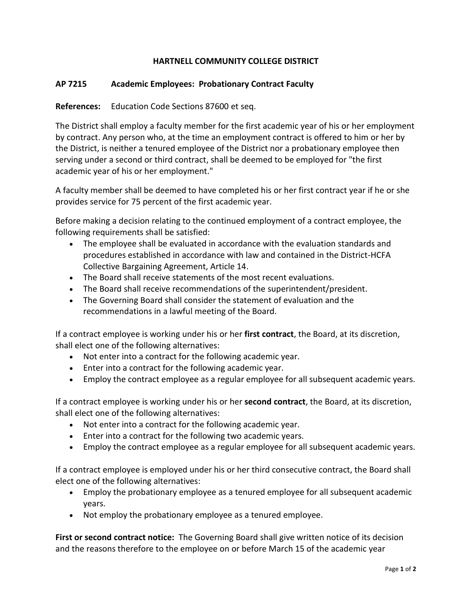## **HARTNELL COMMUNITY COLLEGE DISTRICT**

## **AP 7215 Academic Employees: Probationary Contract Faculty**

**References:** Education Code Sections 87600 et seq.

The District shall employ a faculty member for the first academic year of his or her employment by contract. Any person who, at the time an employment contract is offered to him or her by the District, is neither a tenured employee of the District nor a probationary employee then serving under a second or third contract, shall be deemed to be employed for "the first academic year of his or her employment."

A faculty member shall be deemed to have completed his or her first contract year if he or she provides service for 75 percent of the first academic year.

Before making a decision relating to the continued employment of a contract employee, the following requirements shall be satisfied:

- The employee shall be evaluated in accordance with the evaluation standards and procedures established in accordance with law and contained in the District-HCFA Collective Bargaining Agreement, Article 14.
- The Board shall receive statements of the most recent evaluations.
- The Board shall receive recommendations of the superintendent/president.
- The Governing Board shall consider the statement of evaluation and the recommendations in a lawful meeting of the Board.

If a contract employee is working under his or her **first contract**, the Board, at its discretion, shall elect one of the following alternatives:

- Not enter into a contract for the following academic year.
- Enter into a contract for the following academic year.
- Employ the contract employee as a regular employee for all subsequent academic years.

If a contract employee is working under his or her **second contract**, the Board, at its discretion, shall elect one of the following alternatives:

- Not enter into a contract for the following academic year.
- Enter into a contract for the following two academic years.
- Employ the contract employee as a regular employee for all subsequent academic years.

If a contract employee is employed under his or her third consecutive contract, the Board shall elect one of the following alternatives:

- Employ the probationary employee as a tenured employee for all subsequent academic years.
- Not employ the probationary employee as a tenured employee.

**First or second contract notice:** The Governing Board shall give written notice of its decision and the reasons therefore to the employee on or before March 15 of the academic year